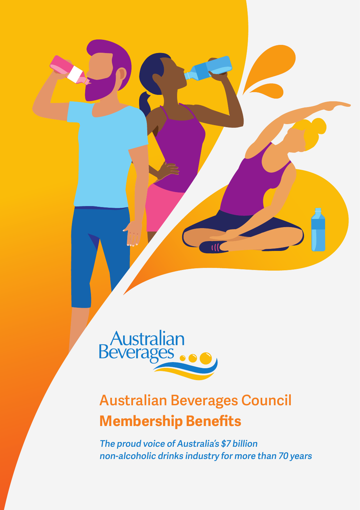

# **Australian Beverages Council Membership Benefits**

**The proud voice of Australia's \$7 billion non-alcoholic drinks industry for more than 70 years**

 $1/1$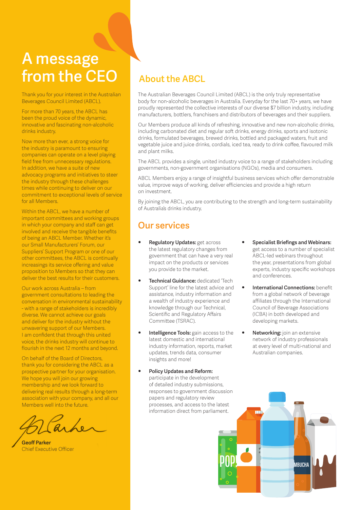# **A message from the CEO**

Thank you for your interest in the Australian Beverages Council Limited (ABCL).

For more than 70 years, the ABCL has been the proud voice of the dynamic, innovative and fascinating non-alcoholic drinks industry.

Now more than ever, a strong voice for the industry is paramount to ensuring companies can operate on a level playing field free from unnecessary regulations. In addition, we have a suite of new advocacy programs and initiatives to steer the industry through these challenges times while continuing to deliver on our commitment to exceptional levels of service for all Members.

Within the ABCL, we have a number of important committees and working groups in which your company and staff can get involved and receive the tangible benefits of being an ABCL Member. Whether it's our Small Manufacturers' Forum, our Suppliers' Support Program or one of our other committees, the ABCL is continually increasings its service offering and value proposition to Members so that they can deliver the best results for their customers.

Our work across Australia – from government consultations to leading the conversation in environmental sustainability - with a range of stakeholders is incredibly diverse. We cannot achieve our goals and deliver for the industry without the unwavering support of our Members. I am confident that through this united voice, the drinks industry will continue to flourish in the next 12 months and beyond.

On behalf of the Board of Directors, thank you for considering the ABCL as a prospective partner for your organisation. We hope you will join our growing membership and we look forward to delivering real results through a long-term association with your company, and all our Members well into the future.

**Geoff Parker** Chief Executive Officer

# **About the ABCL**

The Australian Beverages Council Limited (ABCL) is the only truly representative body for non-alcoholic beverages in Australia. Everyday for the last 70+ years, we have proudly represented the collective interests of our diverse \$7 billion industry, including manufacturers, bottlers, franchisers and distributors of beverages and their suppliers.

Our Members produce all kinds of refreshing, innovative and new non-alcoholic drinks, including carbonated diet and regular soft drinks, energy drinks, sports and isotonic drinks, formulated beverages, brewed drinks, bottled and packaged waters, fruit and vegetable juice and juice drinks, cordials, iced tea, ready to drink coffee, flavoured milk and plant milks.

The ABCL provides a single, united industry voice to a range of stakeholders including governments, non-government organisations (NGOs), media and consumers.

ABCL Members enjoy a range of insightful business services which offer demonstrable value, improve ways of working, deliver efficiencies and provide a high return on investment.

By joining the ABCL, you are contributing to the strength and long-term sustainability of Australia's drinks industry.

## **Our services**

- **• Regulatory Updates:** get across the latest regulatory changes from government that can have a very real impact on the products or services you provide to the market.
- **• Technical Guidance:** dedicated 'Tech Support' line for the latest advice and assistance, industry information and a wealth of industry experience and knowledge through our Technical, Scientific and Regulatory Affairs Committee (TSRAC).
- **• Intelligence Tools:** gain access to the latest domestic and international industry information, reports, market updates, trends data, consumer insights and more!
- **• Policy Updates and Reform:** participate in the development of detailed industry submissions, responses to government discussion papers and regulatory review processes, and access to the latest information direct from parliament.
- **• Specialist Briefings and Webinars:** get access to a number of specialist ABCL-led webinars throughout the year, presentations from global experts, industry specific workshops and conferences.
- **• International Connections:** benefit from a global network of beverage affiliates through the International Council of Beverage Associations (ICBA) in both developed and developing markets.
- **• Networking:** join an extensive network of industry professionals at every level of multi-national and Australian companies.

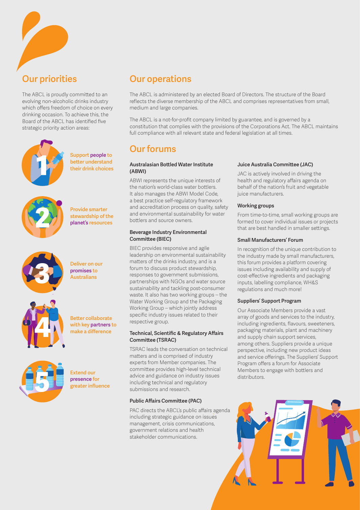

# **Our priorities**

The ABCL is proudly committed to an evolving non-alcoholic drinks industry which offers freedom of choice on every drinking occasion. To achieve this, the Board of the ABCL has identified five strategic priority action areas:



**Support people to better understand their drink choices**



**Provide smarter stewardship of the planet's resources**



**Deliver on our promises to Australians**



**Better collaborate with key partners to make a difference**



**Extend our presence for greater influence**

# **Our operations**

The ABCL is administered by an elected Board of Directors. The structure of the Board reflects the diverse membership of the ABCL and comprises representatives from small, medium and large companies.

The ABCL is a not-for-profit company limited by guarantee, and is governed by a constitution that complies with the provisions of the Corporations Act. The ABCL maintains full compliance with all relevant state and federal legislation at all times.

### **Our forums**

#### **Australasian Bottled Water Institute (ABWI)**

ABWI represents the unique interests of the nation's world-class water bottlers. It also manages the ABWI Model Code, a best practice self-regulatory framework and accreditation process on quality, safety and environmental sustainability for water bottlers and source owners.

#### **Beverage Industry Environmental Committee (BIEC)**

BIEC provides responsive and agile leadership on environmental sustainability matters of the drinks industry, and is a forum to discuss product stewardship, responses to government submissions, partnerships with NGOs and water source sustainability and tackling post-consumer waste. It also has two working groups – the Water Working Group and the Packaging Working Group – which jointly address specific industry issues related to their respective group.

### **Technical, Scientific & Regulatory Affairs Committee (TSRAC)**

TSRAC leads the conversation on technical matters and is comprised of industry experts from Member companies. The committee provides high-level technical advice and guidance on industry issues including technical and regulatory submissions and research.

### **Public Affairs Committee (PAC)**

PAC directs the ABCL's public affairs agenda including strategic guidance on issues management, crisis communications, government relations and health stakeholder communications.

### **Juice Australia Committee (JAC)**

JAC is actively involved in driving the health and regulatory affairs agenda on behalf of the nation's fruit and vegetable juice manufacturers.

#### **Working groups**

From time-to-time, small working groups are formed to cover individual issues or projects that are best handled in smaller settings.

#### **Small Manufacturers' Forum**

In recognition of the unique contribution to the industry made by small manufacturers, this forum provides a platform covering issues including availability and supply of cost-effective ingredients and packaging inputs, labelling compliance, WH&S regulations and much more!

#### **Suppliers' Support Program**

Our Associate Members provide a vast array of goods and services to the industry, including ingredients, flavours, sweeteners, packaging materials, plant and machinery and supply chain support services, among others. Suppliers provide a unique perspective, including new product ideas and service offerings. The Suppliers' Support Program offers a forum for Associate Members to engage with bottlers and distributors.